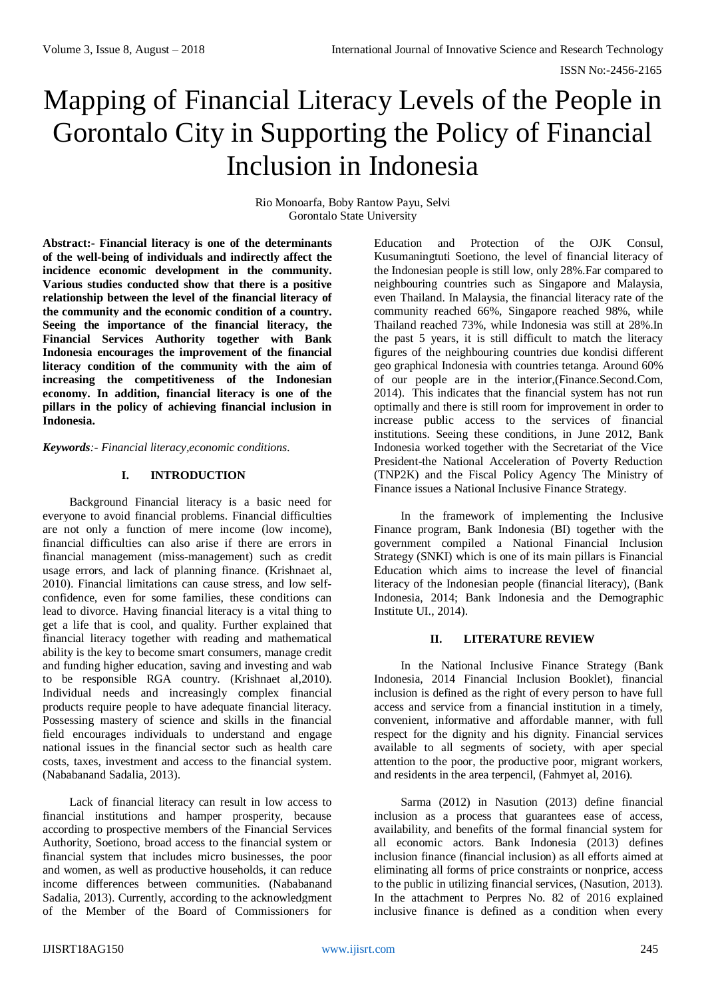# Mapping of Financial Literacy Levels of the People in Gorontalo City in Supporting the Policy of Financial Inclusion in Indonesia

Rio Monoarfa, Boby Rantow Payu, Selvi Gorontalo State University

**Abstract:- Financial literacy is one of the determinants of the well-being of individuals and indirectly affect the incidence economic development in the community. Various studies conducted show that there is a positive relationship between the level of the financial literacy of the community and the economic condition of a country. Seeing the importance of the financial literacy, the Financial Services Authority together with Bank Indonesia encourages the improvement of the financial literacy condition of the community with the aim of increasing the competitiveness of the Indonesian economy. In addition, financial literacy is one of the pillars in the policy of achieving financial inclusion in Indonesia.**

*Keywords:- Financial literacy,economic conditions.*

# **I. INTRODUCTION**

Background Financial literacy is a basic need for everyone to avoid financial problems. Financial difficulties are not only a function of mere income (low income), financial difficulties can also arise if there are errors in financial management (miss-management) such as credit usage errors, and lack of planning finance. (Krishnaet al, 2010). Financial limitations can cause stress, and low selfconfidence, even for some families, these conditions can lead to divorce. Having financial literacy is a vital thing to get a life that is cool, and quality. Further explained that financial literacy together with reading and mathematical ability is the key to become smart consumers, manage credit and funding higher education, saving and investing and wab to be responsible RGA country. (Krishnaet al,2010). Individual needs and increasingly complex financial products require people to have adequate financial literacy. Possessing mastery of science and skills in the financial field encourages individuals to understand and engage national issues in the financial sector such as health care costs, taxes, investment and access to the financial system. (Nababanand Sadalia, 2013).

Lack of financial literacy can result in low access to financial institutions and hamper prosperity, because according to prospective members of the Financial Services Authority, Soetiono, broad access to the financial system or financial system that includes micro businesses, the poor and women, as well as productive households, it can reduce income differences between communities. (Nababanand Sadalia, 2013). Currently, according to the acknowledgment of the Member of the Board of Commissioners for

Education and Protection of the OJK Consul, Kusumaningtuti Soetiono, the level of financial literacy of the Indonesian people is still low, only 28%.Far compared to neighbouring countries such as Singapore and Malaysia, even Thailand. In Malaysia, the financial literacy rate of the community reached 66%, Singapore reached 98%, while Thailand reached 73%, while Indonesia was still at 28%.In the past 5 years, it is still difficult to match the literacy figures of the neighbouring countries due kondisi different geo graphical Indonesia with countries tetanga. Around 60% of our people are in the interior,(Finance.Second.Com, 2014). This indicates that the financial system has not run optimally and there is still room for improvement in order to increase public access to the services of financial institutions. Seeing these conditions, in June 2012, Bank Indonesia worked together with the Secretariat of the Vice President-the National Acceleration of Poverty Reduction (TNP2K) and the Fiscal Policy Agency The Ministry of Finance issues a National Inclusive Finance Strategy.

In the framework of implementing the Inclusive Finance program, Bank Indonesia (BI) together with the government compiled a National Financial Inclusion Strategy (SNKI) which is one of its main pillars is Financial Education which aims to increase the level of financial literacy of the Indonesian people (financial literacy), (Bank Indonesia, 2014; Bank Indonesia and the Demographic Institute UI., 2014).

# **II. LITERATURE REVIEW**

In the National Inclusive Finance Strategy (Bank Indonesia, 2014 Financial Inclusion Booklet), financial inclusion is defined as the right of every person to have full access and service from a financial institution in a timely, convenient, informative and affordable manner, with full respect for the dignity and his dignity. Financial services available to all segments of society, with aper special attention to the poor, the productive poor, migrant workers, and residents in the area terpencil, (Fahmyet al, 2016).

Sarma (2012) in Nasution (2013) define financial inclusion as a process that guarantees ease of access, availability, and benefits of the formal financial system for all economic actors. Bank Indonesia (2013) defines inclusion finance (financial inclusion) as all efforts aimed at eliminating all forms of price constraints or nonprice, access to the public in utilizing financial services, (Nasution, 2013). In the attachment to Perpres No. 82 of 2016 explained inclusive finance is defined as a condition when every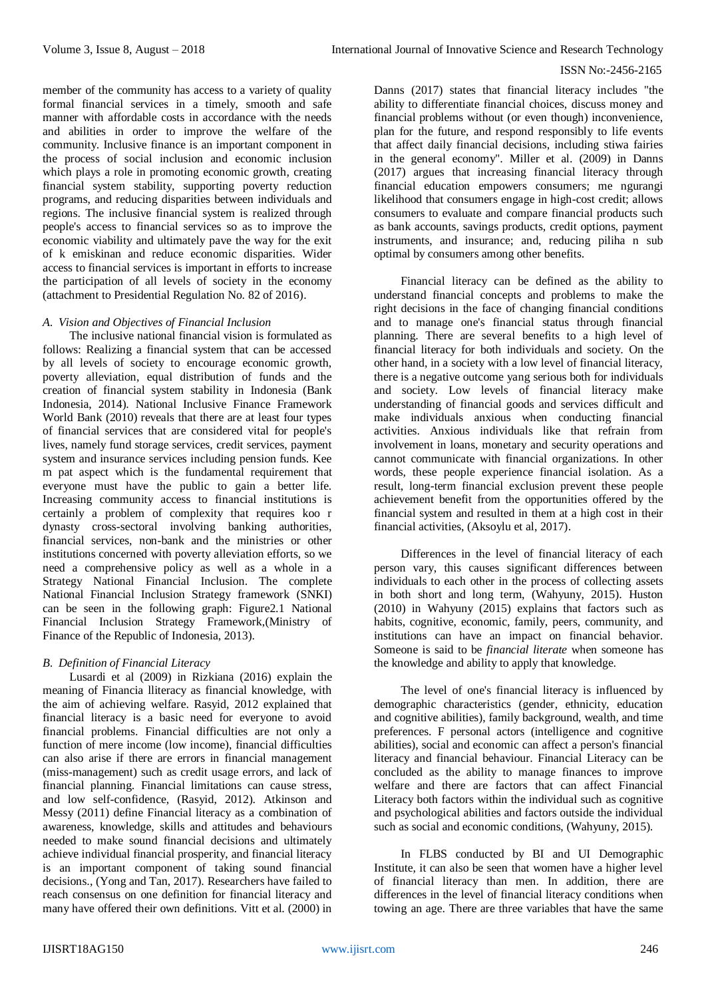member of the community has access to a variety of quality formal financial services in a timely, smooth and safe manner with affordable costs in accordance with the needs and abilities in order to improve the welfare of the community. Inclusive finance is an important component in the process of social inclusion and economic inclusion which plays a role in promoting economic growth, creating financial system stability, supporting poverty reduction programs, and reducing disparities between individuals and regions. The inclusive financial system is realized through people's access to financial services so as to improve the economic viability and ultimately pave the way for the exit of k emiskinan and reduce economic disparities. Wider access to financial services is important in efforts to increase the participation of all levels of society in the economy (attachment to Presidential Regulation No. 82 of 2016).

### *A. Vision and Objectives of Financial Inclusion*

The inclusive national financial vision is formulated as follows: Realizing a financial system that can be accessed by all levels of society to encourage economic growth, poverty alleviation, equal distribution of funds and the creation of financial system stability in Indonesia (Bank Indonesia, 2014). National Inclusive Finance Framework World Bank (2010) reveals that there are at least four types of financial services that are considered vital for people's lives, namely fund storage services, credit services, payment system and insurance services including pension funds. Kee m pat aspect which is the fundamental requirement that everyone must have the public to gain a better life. Increasing community access to financial institutions is certainly a problem of complexity that requires koo r dynasty cross-sectoral involving banking authorities, financial services, non-bank and the ministries or other institutions concerned with poverty alleviation efforts, so we need a comprehensive policy as well as a whole in a Strategy National Financial Inclusion. The complete National Financial Inclusion Strategy framework (SNKI) can be seen in the following graph: Figure2.1 National Financial Inclusion Strategy Framework,(Ministry of Finance of the Republic of Indonesia, 2013).

# *B. Definition of Financial Literacy*

Lusardi et al (2009) in Rizkiana (2016) explain the meaning of Financia lliteracy as financial knowledge, with the aim of achieving welfare. Rasyid, 2012 explained that financial literacy is a basic need for everyone to avoid financial problems. Financial difficulties are not only a function of mere income (low income), financial difficulties can also arise if there are errors in financial management (miss-management) such as credit usage errors, and lack of financial planning. Financial limitations can cause stress, and low self-confidence, (Rasyid, 2012). Atkinson and Messy (2011) define Financial literacy as a combination of awareness, knowledge, skills and attitudes and behaviours needed to make sound financial decisions and ultimately achieve individual financial prosperity, and financial literacy is an important component of taking sound financial decisions., (Yong and Tan, 2017). Researchers have failed to reach consensus on one definition for financial literacy and many have offered their own definitions. Vitt et al. (2000) in

Danns (2017) states that financial literacy includes "the ability to differentiate financial choices, discuss money and financial problems without (or even though) inconvenience, plan for the future, and respond responsibly to life events that affect daily financial decisions, including stiwa fairies in the general economy". Miller et al. (2009) in Danns (2017) argues that increasing financial literacy through financial education empowers consumers; me ngurangi likelihood that consumers engage in high-cost credit; allows consumers to evaluate and compare financial products such as bank accounts, savings products, credit options, payment instruments, and insurance; and, reducing piliha n sub optimal by consumers among other benefits.

Financial literacy can be defined as the ability to understand financial concepts and problems to make the right decisions in the face of changing financial conditions and to manage one's financial status through financial planning. There are several benefits to a high level of financial literacy for both individuals and society. On the other hand, in a society with a low level of financial literacy, there is a negative outcome yang serious both for individuals and society. Low levels of financial literacy make understanding of financial goods and services difficult and make individuals anxious when conducting financial activities. Anxious individuals like that refrain from involvement in loans, monetary and security operations and cannot communicate with financial organizations. In other words, these people experience financial isolation. As a result, long-term financial exclusion prevent these people achievement benefit from the opportunities offered by the financial system and resulted in them at a high cost in their financial activities, (Aksoylu et al, 2017).

Differences in the level of financial literacy of each person vary, this causes significant differences between individuals to each other in the process of collecting assets in both short and long term, (Wahyuny, 2015). Huston (2010) in Wahyuny (2015) explains that factors such as habits, cognitive, economic, family, peers, community, and institutions can have an impact on financial behavior. Someone is said to be *financial literate* when someone has the knowledge and ability to apply that knowledge.

The level of one's financial literacy is influenced by demographic characteristics (gender, ethnicity, education and cognitive abilities), family background, wealth, and time preferences. F personal actors (intelligence and cognitive abilities), social and economic can affect a person's financial literacy and financial behaviour. Financial Literacy can be concluded as the ability to manage finances to improve welfare and there are factors that can affect Financial Literacy both factors within the individual such as cognitive and psychological abilities and factors outside the individual such as social and economic conditions, (Wahyuny, 2015).

In FLBS conducted by BI and UI Demographic Institute, it can also be seen that women have a higher level of financial literacy than men. In addition, there are differences in the level of financial literacy conditions when towing an age. There are three variables that have the same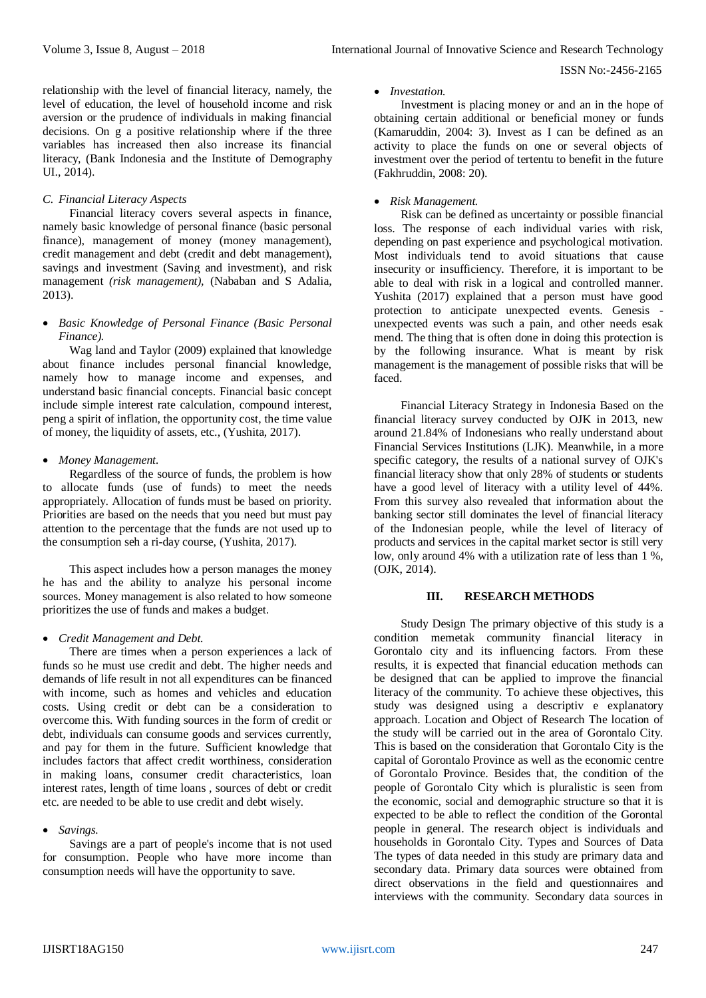relationship with the level of financial literacy, namely, the level of education, the level of household income and risk aversion or the prudence of individuals in making financial decisions. On g a positive relationship where if the three variables has increased then also increase its financial literacy, (Bank Indonesia and the Institute of Demography UI., 2014).

## *C. Financial Literacy Aspects*

Financial literacy covers several aspects in finance, namely basic knowledge of personal finance (basic personal finance), management of money (money management), credit management and debt (credit and debt management), savings and investment (Saving and investment), and risk management *(risk management),* (Nababan and S Adalia, 2013).

# *Basic Knowledge of Personal Finance (Basic Personal Finance).*

Wag land and Taylor (2009) explained that knowledge about finance includes personal financial knowledge, namely how to manage income and expenses, and understand basic financial concepts. Financial basic concept include simple interest rate calculation, compound interest, peng a spirit of inflation, the opportunity cost, the time value of money, the liquidity of assets, etc., (Yushita, 2017).

## *Money Management.*

Regardless of the source of funds, the problem is how to allocate funds (use of funds) to meet the needs appropriately. Allocation of funds must be based on priority. Priorities are based on the needs that you need but must pay attention to the percentage that the funds are not used up to the consumption seh a ri-day course, (Yushita, 2017).

This aspect includes how a person manages the money he has and the ability to analyze his personal income sources. Money management is also related to how someone prioritizes the use of funds and makes a budget.

# *Credit Management and Debt.*

There are times when a person experiences a lack of funds so he must use credit and debt. The higher needs and demands of life result in not all expenditures can be financed with income, such as homes and vehicles and education costs. Using credit or debt can be a consideration to overcome this. With funding sources in the form of credit or debt, individuals can consume goods and services currently, and pay for them in the future. Sufficient knowledge that includes factors that affect credit worthiness, consideration in making loans, consumer credit characteristics, loan interest rates, length of time loans , sources of debt or credit etc. are needed to be able to use credit and debt wisely.

#### *Savings.*

Savings are a part of people's income that is not used for consumption. People who have more income than consumption needs will have the opportunity to save.

#### *Investation.*

Investment is placing money or and an in the hope of obtaining certain additional or beneficial money or funds (Kamaruddin, 2004: 3). Invest as I can be defined as an activity to place the funds on one or several objects of investment over the period of tertentu to benefit in the future (Fakhruddin, 2008: 20).

#### *Risk Management.*

Risk can be defined as uncertainty or possible financial loss. The response of each individual varies with risk, depending on past experience and psychological motivation. Most individuals tend to avoid situations that cause insecurity or insufficiency. Therefore, it is important to be able to deal with risk in a logical and controlled manner. Yushita (2017) explained that a person must have good protection to anticipate unexpected events. Genesis unexpected events was such a pain, and other needs esak mend. The thing that is often done in doing this protection is by the following insurance. What is meant by risk management is the management of possible risks that will be faced.

Financial Literacy Strategy in Indonesia Based on the financial literacy survey conducted by OJK in 2013, new around 21.84% of Indonesians who really understand about Financial Services Institutions (LJK). Meanwhile, in a more specific category, the results of a national survey of OJK's financial literacy show that only 28% of students or students have a good level of literacy with a utility level of 44%. From this survey also revealed that information about the banking sector still dominates the level of financial literacy of the Indonesian people, while the level of literacy of products and services in the capital market sector is still very low, only around 4% with a utilization rate of less than 1 %, (OJK, 2014).

#### **III. RESEARCH METHODS**

Study Design The primary objective of this study is a condition memetak community financial literacy in Gorontalo city and its influencing factors. From these results, it is expected that financial education methods can be designed that can be applied to improve the financial literacy of the community. To achieve these objectives, this study was designed using a descriptiv e explanatory approach. Location and Object of Research The location of the study will be carried out in the area of Gorontalo City. This is based on the consideration that Gorontalo City is the capital of Gorontalo Province as well as the economic centre of Gorontalo Province. Besides that, the condition of the people of Gorontalo City which is pluralistic is seen from the economic, social and demographic structure so that it is expected to be able to reflect the condition of the Gorontal people in general. The research object is individuals and households in Gorontalo City. Types and Sources of Data The types of data needed in this study are primary data and secondary data. Primary data sources were obtained from direct observations in the field and questionnaires and interviews with the community. Secondary data sources in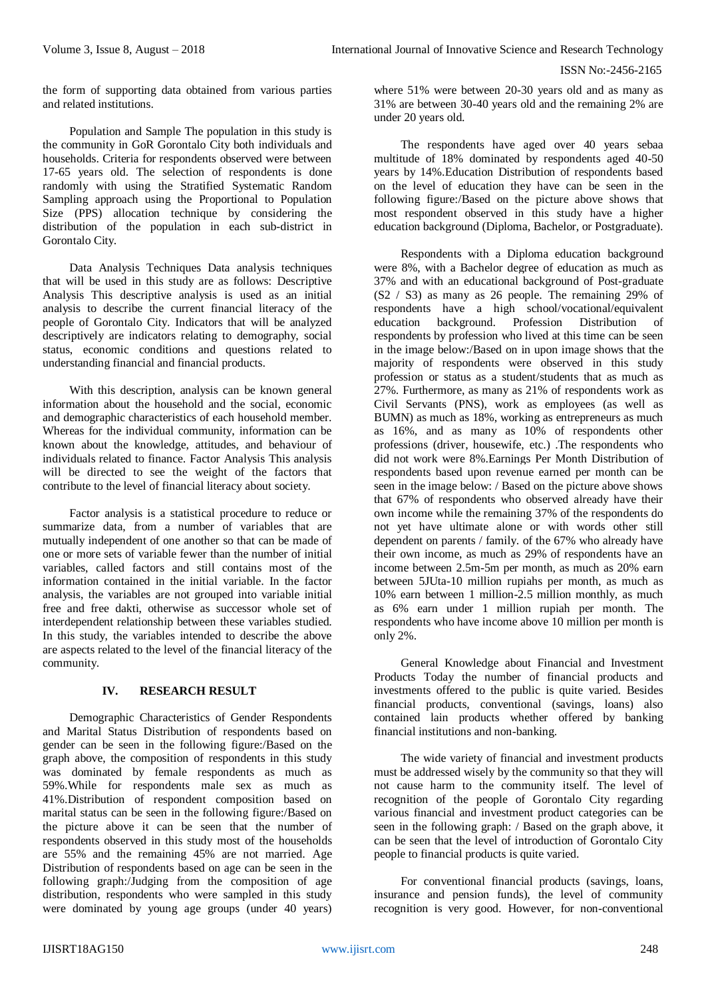the form of supporting data obtained from various parties and related institutions.

Population and Sample The population in this study is the community in GoR Gorontalo City both individuals and households. Criteria for respondents observed were between 17-65 years old. The selection of respondents is done randomly with using the Stratified Systematic Random Sampling approach using the Proportional to Population Size (PPS) allocation technique by considering the distribution of the population in each sub-district in Gorontalo City.

Data Analysis Techniques Data analysis techniques that will be used in this study are as follows: Descriptive Analysis This descriptive analysis is used as an initial analysis to describe the current financial literacy of the people of Gorontalo City. Indicators that will be analyzed descriptively are indicators relating to demography, social status, economic conditions and questions related to understanding financial and financial products.

With this description, analysis can be known general information about the household and the social, economic and demographic characteristics of each household member. Whereas for the individual community, information can be known about the knowledge, attitudes, and behaviour of individuals related to finance. Factor Analysis This analysis will be directed to see the weight of the factors that contribute to the level of financial literacy about society.

Factor analysis is a statistical procedure to reduce or summarize data, from a number of variables that are mutually independent of one another so that can be made of one or more sets of variable fewer than the number of initial variables, called factors and still contains most of the information contained in the initial variable. In the factor analysis, the variables are not grouped into variable initial free and free dakti, otherwise as successor whole set of interdependent relationship between these variables studied. In this study, the variables intended to describe the above are aspects related to the level of the financial literacy of the community.

# **IV. RESEARCH RESULT**

Demographic Characteristics of Gender Respondents and Marital Status Distribution of respondents based on gender can be seen in the following figure:/Based on the graph above, the composition of respondents in this study was dominated by female respondents as much as 59%.While for respondents male sex as much as 41%.Distribution of respondent composition based on marital status can be seen in the following figure:/Based on the picture above it can be seen that the number of respondents observed in this study most of the households are 55% and the remaining 45% are not married. Age Distribution of respondents based on age can be seen in the following graph:/Judging from the composition of age distribution, respondents who were sampled in this study were dominated by young age groups (under 40 years)

where 51% were between 20-30 years old and as many as 31% are between 30-40 years old and the remaining 2% are under 20 years old.

The respondents have aged over 40 years sebaa multitude of 18% dominated by respondents aged 40-50 years by 14%.Education Distribution of respondents based on the level of education they have can be seen in the following figure:/Based on the picture above shows that most respondent observed in this study have a higher education background (Diploma, Bachelor, or Postgraduate).

Respondents with a Diploma education background were 8%, with a Bachelor degree of education as much as 37% and with an educational background of Post-graduate (S2 / S3) as many as 26 people. The remaining 29% of respondents have a high school/vocational/equivalent education background. Profession Distribution of respondents by profession who lived at this time can be seen in the image below:/Based on in upon image shows that the majority of respondents were observed in this study profession or status as a student/students that as much as 27%. Furthermore, as many as 21% of respondents work as Civil Servants (PNS), work as employees (as well as BUMN) as much as 18%, working as entrepreneurs as much as 16%, and as many as 10% of respondents other professions (driver, housewife, etc.) .The respondents who did not work were 8%.Earnings Per Month Distribution of respondents based upon revenue earned per month can be seen in the image below: / Based on the picture above shows that 67% of respondents who observed already have their own income while the remaining 37% of the respondents do not yet have ultimate alone or with words other still dependent on parents / family. of the 67% who already have their own income, as much as 29% of respondents have an income between 2.5m-5m per month, as much as 20% earn between 5JUta-10 million rupiahs per month, as much as 10% earn between 1 million-2.5 million monthly, as much as 6% earn under 1 million rupiah per month. The respondents who have income above 10 million per month is only 2%.

General Knowledge about Financial and Investment Products Today the number of financial products and investments offered to the public is quite varied. Besides financial products, conventional (savings, loans) also contained lain products whether offered by banking financial institutions and non-banking.

The wide variety of financial and investment products must be addressed wisely by the community so that they will not cause harm to the community itself. The level of recognition of the people of Gorontalo City regarding various financial and investment product categories can be seen in the following graph: / Based on the graph above, it can be seen that the level of introduction of Gorontalo City people to financial products is quite varied.

For conventional financial products (savings, loans, insurance and pension funds), the level of community recognition is very good. However, for non-conventional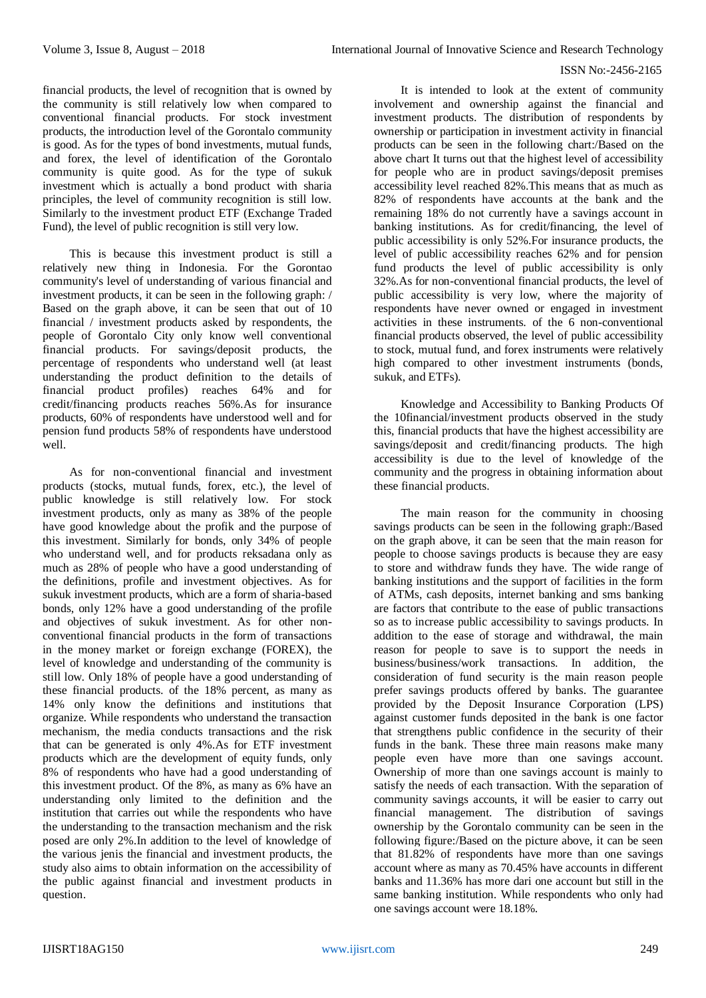financial products, the level of recognition that is owned by the community is still relatively low when compared to conventional financial products. For stock investment products, the introduction level of the Gorontalo community is good. As for the types of bond investments, mutual funds, and forex, the level of identification of the Gorontalo community is quite good. As for the type of sukuk investment which is actually a bond product with sharia principles, the level of community recognition is still low. Similarly to the investment product ETF (Exchange Traded Fund), the level of public recognition is still very low.

This is because this investment product is still a relatively new thing in Indonesia. For the Gorontao community's level of understanding of various financial and investment products, it can be seen in the following graph: / Based on the graph above, it can be seen that out of 10 financial / investment products asked by respondents, the people of Gorontalo City only know well conventional financial products. For savings/deposit products, the percentage of respondents who understand well (at least understanding the product definition to the details of financial product profiles) reaches 64% and for credit/financing products reaches 56%.As for insurance products, 60% of respondents have understood well and for pension fund products 58% of respondents have understood well.

As for non-conventional financial and investment products (stocks, mutual funds, forex, etc.), the level of public knowledge is still relatively low. For stock investment products, only as many as 38% of the people have good knowledge about the profik and the purpose of this investment. Similarly for bonds, only 34% of people who understand well, and for products reksadana only as much as 28% of people who have a good understanding of the definitions, profile and investment objectives. As for sukuk investment products, which are a form of sharia-based bonds, only 12% have a good understanding of the profile and objectives of sukuk investment. As for other nonconventional financial products in the form of transactions in the money market or foreign exchange (FOREX), the level of knowledge and understanding of the community is still low. Only 18% of people have a good understanding of these financial products. of the 18% percent, as many as 14% only know the definitions and institutions that organize. While respondents who understand the transaction mechanism, the media conducts transactions and the risk that can be generated is only 4%.As for ETF investment products which are the development of equity funds, only 8% of respondents who have had a good understanding of this investment product. Of the 8%, as many as 6% have an understanding only limited to the definition and the institution that carries out while the respondents who have the understanding to the transaction mechanism and the risk posed are only 2%.In addition to the level of knowledge of the various jenis the financial and investment products, the study also aims to obtain information on the accessibility of the public against financial and investment products in question.

It is intended to look at the extent of community involvement and ownership against the financial and investment products. The distribution of respondents by ownership or participation in investment activity in financial products can be seen in the following chart:/Based on the above chart It turns out that the highest level of accessibility for people who are in product savings/deposit premises accessibility level reached 82%.This means that as much as 82% of respondents have accounts at the bank and the remaining 18% do not currently have a savings account in banking institutions. As for credit/financing, the level of public accessibility is only 52%.For insurance products, the level of public accessibility reaches 62% and for pension fund products the level of public accessibility is only 32%.As for non-conventional financial products, the level of public accessibility is very low, where the majority of respondents have never owned or engaged in investment activities in these instruments. of the 6 non-conventional financial products observed, the level of public accessibility to stock, mutual fund, and forex instruments were relatively high compared to other investment instruments (bonds, sukuk, and ETFs).

Knowledge and Accessibility to Banking Products Of the 10financial/investment products observed in the study this, financial products that have the highest accessibility are savings/deposit and credit/financing products. The high accessibility is due to the level of knowledge of the community and the progress in obtaining information about these financial products.

The main reason for the community in choosing savings products can be seen in the following graph:/Based on the graph above, it can be seen that the main reason for people to choose savings products is because they are easy to store and withdraw funds they have. The wide range of banking institutions and the support of facilities in the form of ATMs, cash deposits, internet banking and sms banking are factors that contribute to the ease of public transactions so as to increase public accessibility to savings products. In addition to the ease of storage and withdrawal, the main reason for people to save is to support the needs in business/business/work transactions. In addition, the consideration of fund security is the main reason people prefer savings products offered by banks. The guarantee provided by the Deposit Insurance Corporation (LPS) against customer funds deposited in the bank is one factor that strengthens public confidence in the security of their funds in the bank. These three main reasons make many people even have more than one savings account. Ownership of more than one savings account is mainly to satisfy the needs of each transaction. With the separation of community savings accounts, it will be easier to carry out financial management. The distribution of savings ownership by the Gorontalo community can be seen in the following figure:/Based on the picture above, it can be seen that 81.82% of respondents have more than one savings account where as many as 70.45% have accounts in different banks and 11.36% has more dari one account but still in the same banking institution. While respondents who only had one savings account were 18.18%.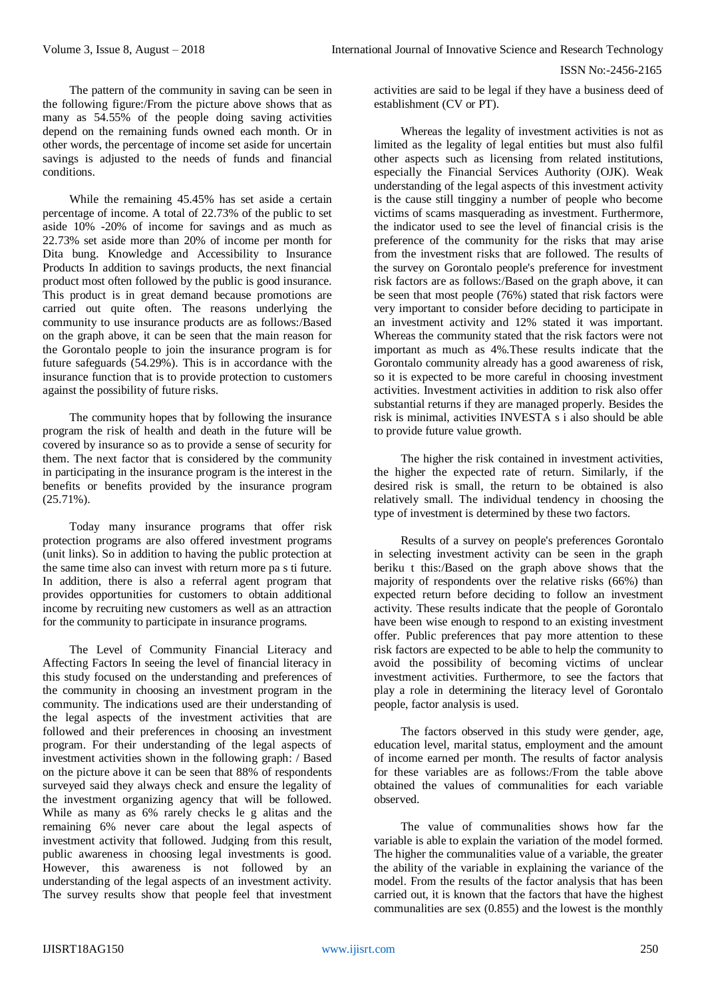The pattern of the community in saving can be seen in the following figure:/From the picture above shows that as many as 54.55% of the people doing saving activities depend on the remaining funds owned each month. Or in other words, the percentage of income set aside for uncertain savings is adjusted to the needs of funds and financial conditions.

While the remaining 45.45% has set aside a certain percentage of income. A total of 22.73% of the public to set aside 10% -20% of income for savings and as much as 22.73% set aside more than 20% of income per month for Dita bung. Knowledge and Accessibility to Insurance Products In addition to savings products, the next financial product most often followed by the public is good insurance. This product is in great demand because promotions are carried out quite often. The reasons underlying the community to use insurance products are as follows:/Based on the graph above, it can be seen that the main reason for the Gorontalo people to join the insurance program is for future safeguards (54.29%). This is in accordance with the insurance function that is to provide protection to customers against the possibility of future risks.

The community hopes that by following the insurance program the risk of health and death in the future will be covered by insurance so as to provide a sense of security for them. The next factor that is considered by the community in participating in the insurance program is the interest in the benefits or benefits provided by the insurance program  $(25.71\%)$ .

Today many insurance programs that offer risk protection programs are also offered investment programs (unit links). So in addition to having the public protection at the same time also can invest with return more pa s ti future. In addition, there is also a referral agent program that provides opportunities for customers to obtain additional income by recruiting new customers as well as an attraction for the community to participate in insurance programs.

The Level of Community Financial Literacy and Affecting Factors In seeing the level of financial literacy in this study focused on the understanding and preferences of the community in choosing an investment program in the community. The indications used are their understanding of the legal aspects of the investment activities that are followed and their preferences in choosing an investment program. For their understanding of the legal aspects of investment activities shown in the following graph: / Based on the picture above it can be seen that 88% of respondents surveyed said they always check and ensure the legality of the investment organizing agency that will be followed. While as many as 6% rarely checks le g alitas and the remaining 6% never care about the legal aspects of investment activity that followed. Judging from this result, public awareness in choosing legal investments is good. However, this awareness is not followed by an understanding of the legal aspects of an investment activity. The survey results show that people feel that investment

activities are said to be legal if they have a business deed of establishment (CV or PT).

Whereas the legality of investment activities is not as limited as the legality of legal entities but must also fulfil other aspects such as licensing from related institutions, especially the Financial Services Authority (OJK). Weak understanding of the legal aspects of this investment activity is the cause still tingginy a number of people who become victims of scams masquerading as investment. Furthermore, the indicator used to see the level of financial crisis is the preference of the community for the risks that may arise from the investment risks that are followed. The results of the survey on Gorontalo people's preference for investment risk factors are as follows:/Based on the graph above, it can be seen that most people (76%) stated that risk factors were very important to consider before deciding to participate in an investment activity and 12% stated it was important. Whereas the community stated that the risk factors were not important as much as 4%.These results indicate that the Gorontalo community already has a good awareness of risk, so it is expected to be more careful in choosing investment activities. Investment activities in addition to risk also offer substantial returns if they are managed properly. Besides the risk is minimal, activities INVESTA s i also should be able to provide future value growth.

The higher the risk contained in investment activities, the higher the expected rate of return. Similarly, if the desired risk is small, the return to be obtained is also relatively small. The individual tendency in choosing the type of investment is determined by these two factors.

Results of a survey on people's preferences Gorontalo in selecting investment activity can be seen in the graph beriku t this:/Based on the graph above shows that the majority of respondents over the relative risks (66%) than expected return before deciding to follow an investment activity. These results indicate that the people of Gorontalo have been wise enough to respond to an existing investment offer. Public preferences that pay more attention to these risk factors are expected to be able to help the community to avoid the possibility of becoming victims of unclear investment activities. Furthermore, to see the factors that play a role in determining the literacy level of Gorontalo people, factor analysis is used.

The factors observed in this study were gender, age, education level, marital status, employment and the amount of income earned per month. The results of factor analysis for these variables are as follows:/From the table above obtained the values of communalities for each variable observed.

The value of communalities shows how far the variable is able to explain the variation of the model formed. The higher the communalities value of a variable, the greater the ability of the variable in explaining the variance of the model. From the results of the factor analysis that has been carried out, it is known that the factors that have the highest communalities are sex (0.855) and the lowest is the monthly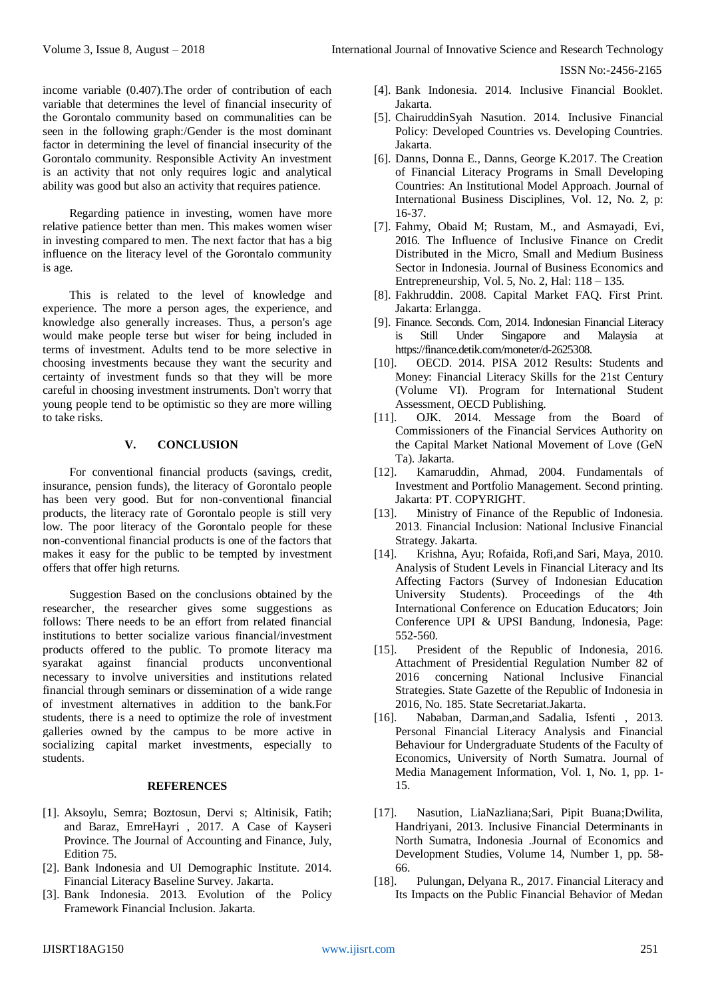income variable (0.407).The order of contribution of each variable that determines the level of financial insecurity of the Gorontalo community based on communalities can be seen in the following graph:/Gender is the most dominant factor in determining the level of financial insecurity of the Gorontalo community. Responsible Activity An investment is an activity that not only requires logic and analytical ability was good but also an activity that requires patience.

Regarding patience in investing, women have more relative patience better than men. This makes women wiser in investing compared to men. The next factor that has a big influence on the literacy level of the Gorontalo community is age.

This is related to the level of knowledge and experience. The more a person ages, the experience, and knowledge also generally increases. Thus, a person's age would make people terse but wiser for being included in terms of investment. Adults tend to be more selective in choosing investments because they want the security and certainty of investment funds so that they will be more careful in choosing investment instruments. Don't worry that young people tend to be optimistic so they are more willing to take risks.

### **V. CONCLUSION**

For conventional financial products (savings, credit, insurance, pension funds), the literacy of Gorontalo people has been very good. But for non-conventional financial products, the literacy rate of Gorontalo people is still very low. The poor literacy of the Gorontalo people for these non-conventional financial products is one of the factors that makes it easy for the public to be tempted by investment offers that offer high returns.

Suggestion Based on the conclusions obtained by the researcher, the researcher gives some suggestions as follows: There needs to be an effort from related financial institutions to better socialize various financial/investment products offered to the public. To promote literacy ma syarakat against financial products unconventional necessary to involve universities and institutions related financial through seminars or dissemination of a wide range of investment alternatives in addition to the bank.For students, there is a need to optimize the role of investment galleries owned by the campus to be more active in socializing capital market investments, especially to students.

#### **REFERENCES**

- [1]. Aksoylu, Semra; Boztosun, Dervi s; Altinisik, Fatih; and Baraz, EmreHayri , 2017. A Case of Kayseri Province. The Journal of Accounting and Finance, July, Edition 75.
- [2]. Bank Indonesia and UI Demographic Institute. 2014. Financial Literacy Baseline Survey. Jakarta.
- [3]. Bank Indonesia. 2013. Evolution of the Policy Framework Financial Inclusion. Jakarta.
- [4]. Bank Indonesia. 2014. Inclusive Financial Booklet. Jakarta.
- [5]. ChairuddinSyah Nasution. 2014. Inclusive Financial Policy: Developed Countries vs. Developing Countries. Jakarta.
- [6]. Danns, Donna E., Danns, George K.2017. The Creation of Financial Literacy Programs in Small Developing Countries: An Institutional Model Approach. Journal of International Business Disciplines, Vol. 12, No. 2, p: 16-37.
- [7]. Fahmy, Obaid M; Rustam, M., and Asmayadi, Evi, 2016. The Influence of Inclusive Finance on Credit Distributed in the Micro, Small and Medium Business Sector in Indonesia. Journal of Business Economics and Entrepreneurship, Vol. 5, No. 2, Hal: 118 – 135.
- [8]. Fakhruddin. 2008. Capital Market FAQ. First Print. Jakarta: Erlangga.
- [9]. Finance. Seconds. Com, 2014. Indonesian Financial Literacy is Still Under Singapore and Malaysia at https://finance.detik.com/moneter/d-2625308.
- [10]. OECD. 2014. PISA 2012 Results: Students and Money: Financial Literacy Skills for the 21st Century (Volume VI). Program for International Student Assessment, OECD Publishing.
- [11]. OJK. 2014. Message from the Board of Commissioners of the Financial Services Authority on the Capital Market National Movement of Love (GeN Ta). Jakarta.
- [12]. Kamaruddin, Ahmad, 2004. Fundamentals of Investment and Portfolio Management. Second printing. Jakarta: PT. COPYRIGHT.
- [13]. Ministry of Finance of the Republic of Indonesia. 2013. Financial Inclusion: National Inclusive Financial Strategy. Jakarta.
- [14]. Krishna, Ayu; Rofaida, Rofi,and Sari, Maya, 2010. Analysis of Student Levels in Financial Literacy and Its Affecting Factors (Survey of Indonesian Education University Students). Proceedings of the 4th International Conference on Education Educators; Join Conference UPI & UPSI Bandung, Indonesia, Page: 552-560.
- [15]. President of the Republic of Indonesia, 2016. Attachment of Presidential Regulation Number 82 of 2016 concerning National Inclusive Financial Strategies. State Gazette of the Republic of Indonesia in 2016, No. 185. State Secretariat.Jakarta.
- [16]. Nababan, Darman,and Sadalia, Isfenti , 2013. Personal Financial Literacy Analysis and Financial Behaviour for Undergraduate Students of the Faculty of Economics, University of North Sumatra. Journal of Media Management Information, Vol. 1, No. 1, pp. 1- 15.
- [17]. Nasution, LiaNazliana;Sari, Pipit Buana;Dwilita, Handriyani, 2013. Inclusive Financial Determinants in North Sumatra, Indonesia .Journal of Economics and Development Studies, Volume 14, Number 1, pp. 58- 66.
- [18]. Pulungan, Delyana R., 2017. Financial Literacy and Its Impacts on the Public Financial Behavior of Medan